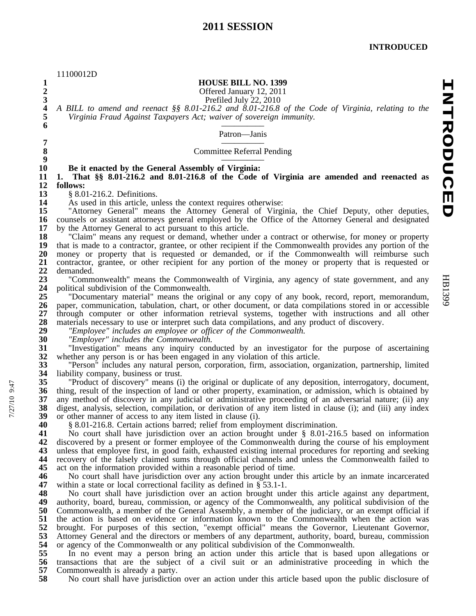|                                       | 11100012D                                                                                                                                                                                                |
|---------------------------------------|----------------------------------------------------------------------------------------------------------------------------------------------------------------------------------------------------------|
| $\mathbf{1}$                          | <b>HOUSE BILL NO. 1399</b>                                                                                                                                                                               |
| $\frac{2}{3}$                         | Offered January 12, 2011                                                                                                                                                                                 |
| $\overline{\mathbf{4}}$               | Prefiled July 22, 2010                                                                                                                                                                                   |
| 5                                     | A BILL to amend and reenact §§ 8.01-216.2 and 8.01-216.8 of the Code of Virginia, relating to the<br>Virginia Fraud Against Taxpayers Act; waiver of sovereign immunity.                                 |
| 6                                     |                                                                                                                                                                                                          |
|                                       | Patron-Janis                                                                                                                                                                                             |
| $\begin{array}{c} 7 \\ 8 \end{array}$ |                                                                                                                                                                                                          |
| $\boldsymbol{9}$                      | <b>Committee Referral Pending</b>                                                                                                                                                                        |
| 10                                    | Be it enacted by the General Assembly of Virginia:                                                                                                                                                       |
| 11                                    | 1. That §§ 8.01-216.2 and 8.01-216.8 of the Code of Virginia are amended and reenacted as                                                                                                                |
| 12                                    | follows:                                                                                                                                                                                                 |
| 13<br>14                              | § 8.01-216.2. Definitions.                                                                                                                                                                               |
| 15                                    | As used in this article, unless the context requires otherwise:<br>"Attorney General" means the Attorney General of Virginia, the Chief Deputy, other deputies,                                          |
| 16                                    | counsels or assistant attorneys general employed by the Office of the Attorney General and designated                                                                                                    |
| 17                                    | by the Attorney General to act pursuant to this article.                                                                                                                                                 |
| 18                                    | "Claim" means any request or demand, whether under a contract or otherwise, for money or property                                                                                                        |
| 19<br>20                              | that is made to a contractor, grantee, or other recipient if the Commonwealth provides any portion of the<br>money or property that is requested or demanded, or if the Commonwealth will reimburse such |
| 21                                    | contractor, grantee, or other recipient for any portion of the money or property that is requested or                                                                                                    |
| 22                                    | demanded.                                                                                                                                                                                                |
| 23                                    | "Commonwealth" means the Commonwealth of Virginia, any agency of state government, and any                                                                                                               |
| 24<br>25                              | political subdivision of the Commonwealth.<br>"Documentary material" means the original or any copy of any book, record, report, memorandum,                                                             |
| 26                                    | paper, communication, tabulation, chart, or other document, or data compilations stored in or accessible                                                                                                 |
| 27                                    | through computer or other information retrieval systems, together with instructions and all other                                                                                                        |
| 28                                    | materials necessary to use or interpret such data compilations, and any product of discovery.                                                                                                            |
| 29<br>30                              | "Employee" includes an employee or officer of the Commonwealth.<br>"Employer" includes the Commonwealth.                                                                                                 |
| 31                                    | "Investigation" means any inquiry conducted by an investigator for the purpose of ascertaining                                                                                                           |
| 32                                    | whether any person is or has been engaged in any violation of this article.                                                                                                                              |
| 33                                    | "Person" includes any natural person, corporation, firm, association, organization, partnership, limited                                                                                                 |
| 34<br>35                              | liability company, business or trust.<br>"Product of discovery" means (i) the original or duplicate of any deposition, interrogatory, document,                                                          |
| 36                                    | thing, result of the inspection of land or other property, examination, or admission, which is obtained by                                                                                               |
| 37                                    | any method of discovery in any judicial or administrative proceeding of an adversarial nature; (ii) any                                                                                                  |
| 38                                    | digest, analysis, selection, compilation, or derivation of any item listed in clause (i); and (iii) any index                                                                                            |
| 39<br>40                              | or other manner of access to any item listed in clause (i).                                                                                                                                              |
| 41                                    | § 8.01-216.8. Certain actions barred; relief from employment discrimination.<br>No court shall have jurisdiction over an action brought under § 8.01-216.5 based on information                          |
| 42                                    | discovered by a present or former employee of the Commonwealth during the course of his employment                                                                                                       |
| 43                                    | unless that employee first, in good faith, exhausted existing internal procedures for reporting and seeking                                                                                              |
| 44<br>45                              | recovery of the falsely claimed sums through official channels and unless the Commonwealth failed to                                                                                                     |
| 46                                    | act on the information provided within a reasonable period of time.<br>No court shall have jurisdiction over any action brought under this article by an inmate incarcerated                             |
| 47                                    | within a state or local correctional facility as defined in $\S 53.1-1$ .                                                                                                                                |
| 48                                    | No court shall have jurisdiction over an action brought under this article against any department,                                                                                                       |
| 49                                    | authority, board, bureau, commission, or agency of the Commonwealth, any political subdivision of the                                                                                                    |
| 50<br>51                              | Commonwealth, a member of the General Assembly, a member of the judiciary, or an exempt official if<br>the action is based on evidence or information known to the Commonwealth when the action was      |
| 52                                    | brought. For purposes of this section, "exempt official" means the Governor, Lieutenant Governor,                                                                                                        |
| 53                                    | Attorney General and the directors or members of any department, authority, board, bureau, commission                                                                                                    |
| 54                                    | or agency of the Commonwealth or any political subdivision of the Commonwealth.                                                                                                                          |
| 55<br>56                              | In no event may a person bring an action under this article that is based upon allegations or<br>transactions that are the subject of a civil suit or an administrative proceeding in which the          |
| 57                                    | Commonwealth is already a party.                                                                                                                                                                         |
| 58                                    | No court shall have jurisdiction over an action under this article based upon the public disclosure of                                                                                                   |